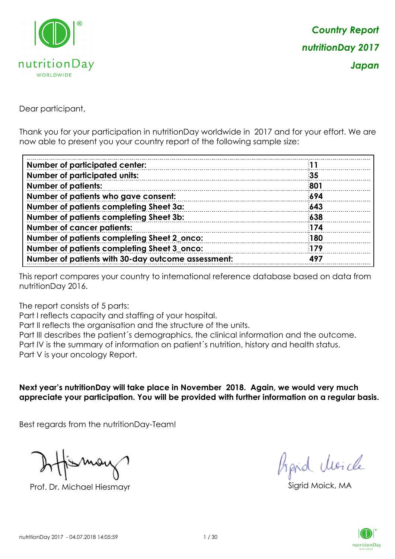

Dear participant,

Thank you for your participation in nutritionDay worldwide in 2017 and for your effort. We are now able to present you your country report of the following sample size:

| <b>Number of participated center:</b>              |            |
|----------------------------------------------------|------------|
| <b>Number of participated units:</b>               | 35         |
| <b>Number of patients:</b>                         | 801        |
| Number of patients who gave consent:               | 694        |
| Number of patients completing Sheet 3a:            | 643        |
| Number of patients completing Sheet 3b:            | 638        |
| <b>Number of cancer patients:</b>                  | 174        |
| Number of patients completing Sheet 2_onco:        | 180        |
| Number of patients completing Sheet 3_onco:        | <b>179</b> |
| Number of patients with 30-day outcome assessment: | 497        |

This report compares your country to international reference database based on data from nutritionDay 2016.

The report consists of 5 parts:

Part I reflects capacity and staffing of your hospital.

Part II reflects the organisation and the structure of the units.

Part III describes the patient´s demographics, the clinical information and the outcome.

Part IV is the summary of information on patient´s nutrition, history and health status.

Part V is your oncology Report.

**Next year's nutritionDay will take place in November 2018. Again, we would very much appreciate your participation. You will be provided with further information on a regular basis.**

Best regards from the nutritionDay-Team!

Prof. Dr. Michael Hiesmayr Sigrid Moick, MA

fraid Moicle

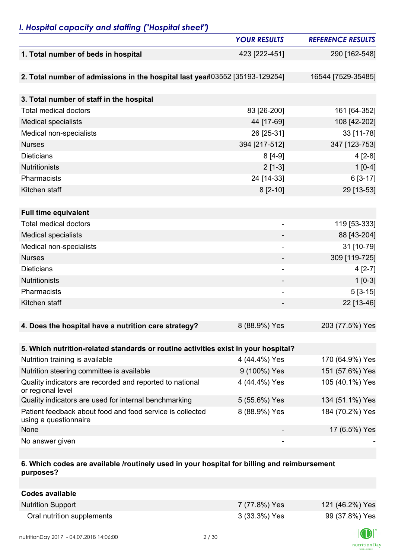## *I. Hospital capacity and staffing ("Hospital sheet")*

|                                                                                    | <b>YOUR RESULTS</b>      | <b>REFERENCE RESULTS</b> |
|------------------------------------------------------------------------------------|--------------------------|--------------------------|
| 1. Total number of beds in hospital                                                | 423 [222-451]            | 290 [162-548]            |
|                                                                                    |                          |                          |
| 2. Total number of admissions in the hospital last year 03552 [35193-129254]       |                          | 16544 [7529-35485]       |
|                                                                                    |                          |                          |
| 3. Total number of staff in the hospital                                           |                          |                          |
| <b>Total medical doctors</b>                                                       | 83 [26-200]              | 161 [64-352]             |
| <b>Medical specialists</b>                                                         | 44 [17-69]               | 108 [42-202]             |
| Medical non-specialists                                                            | 26 [25-31]               | 33 [11-78]               |
| <b>Nurses</b>                                                                      | 394 [217-512]            | 347 [123-753]            |
| <b>Dieticians</b>                                                                  | $8[4-9]$                 | $4[2-8]$                 |
| <b>Nutritionists</b>                                                               | $2[1-3]$                 | $1[0-4]$                 |
| Pharmacists                                                                        | 24 [14-33]               | 6 [3-17]                 |
| Kitchen staff                                                                      | $8[2-10]$                | 29 [13-53]               |
|                                                                                    |                          |                          |
| <b>Full time equivalent</b>                                                        |                          |                          |
| <b>Total medical doctors</b>                                                       | $\overline{a}$           | 119 [53-333]             |
| <b>Medical specialists</b>                                                         |                          | 88 [43-204]              |
| Medical non-specialists                                                            | $\overline{\phantom{a}}$ | 31 [10-79]               |
| <b>Nurses</b>                                                                      | ۰                        | 309 [119-725]            |
| <b>Dieticians</b>                                                                  | ۰                        | $4[2-7]$                 |
| <b>Nutritionists</b>                                                               | -                        | $1 [0-3]$                |
| Pharmacists                                                                        | $\overline{a}$           | $5[3-15]$                |
| Kitchen staff                                                                      |                          | 22 [13-46]               |
|                                                                                    |                          |                          |
| 4. Does the hospital have a nutrition care strategy?                               | 8 (88.9%) Yes            | 203 (77.5%) Yes          |
|                                                                                    |                          |                          |
| 5. Which nutrition-related standards or routine activities exist in your hospital? |                          |                          |
| Nutrition training is available                                                    | 4 (44.4%) Yes            | 170 (64.9%) Yes          |
| Nutrition steering committee is available                                          | 9 (100%) Yes             | 151 (57.6%) Yes          |
| Quality indicators are recorded and reported to national<br>or regional level      | 4 (44.4%) Yes            | 105 (40.1%) Yes          |
| Quality indicators are used for internal benchmarking                              | 5 (55.6%) Yes            | 134 (51.1%) Yes          |
| Patient feedback about food and food service is collected<br>using a questionnaire | 8 (88.9%) Yes            | 184 (70.2%) Yes          |
| None                                                                               |                          | 17 (6.5%) Yes            |
| No answer given                                                                    | $\overline{\phantom{a}}$ |                          |

### **6. Which codes are available /routinely used in your hospital for billing and reimbursement purposes?**

| Codes available            |               |                 |
|----------------------------|---------------|-----------------|
| <b>Nutrition Support</b>   | 7 (77.8%) Yes | 121 (46.2%) Yes |
| Oral nutrition supplements | 3 (33.3%) Yes | 99 (37.8%) Yes  |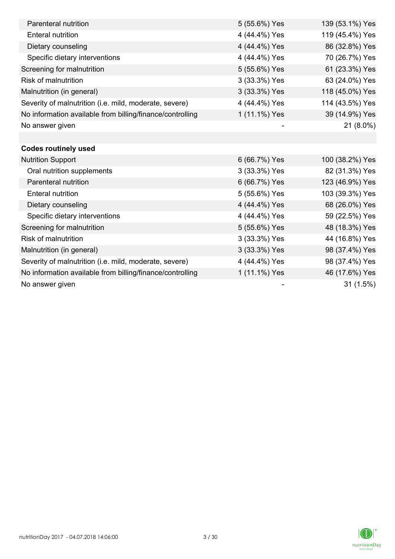| Parenteral nutrition                                      | 5 (55.6%) Yes | 139 (53.1%) Yes |
|-----------------------------------------------------------|---------------|-----------------|
| <b>Enteral nutrition</b>                                  | 4 (44.4%) Yes | 119 (45.4%) Yes |
| Dietary counseling                                        | 4 (44.4%) Yes | 86 (32.8%) Yes  |
| Specific dietary interventions                            | 4 (44.4%) Yes | 70 (26.7%) Yes  |
| Screening for malnutrition                                | 5 (55.6%) Yes | 61 (23.3%) Yes  |
| <b>Risk of malnutrition</b>                               | 3 (33.3%) Yes | 63 (24.0%) Yes  |
| Malnutrition (in general)                                 | 3 (33.3%) Yes | 118 (45.0%) Yes |
| Severity of malnutrition (i.e. mild, moderate, severe)    | 4 (44.4%) Yes | 114 (43.5%) Yes |
| No information available from billing/finance/controlling | 1 (11.1%) Yes | 39 (14.9%) Yes  |
| No answer given                                           |               | 21 (8.0%)       |
|                                                           |               |                 |
| <b>Codes routinely used</b>                               |               |                 |
| <b>Nutrition Support</b>                                  | 6 (66.7%) Yes | 100 (38.2%) Yes |
| Oral nutrition supplements                                | 3 (33.3%) Yes | 82 (31.3%) Yes  |
| Parenteral nutrition                                      | 6 (66.7%) Yes | 123 (46.9%) Yes |
| <b>Enteral nutrition</b>                                  | 5 (55.6%) Yes | 103 (39.3%) Yes |
| Dietary counseling                                        | 4 (44.4%) Yes | 68 (26.0%) Yes  |
| Specific dietary interventions                            | 4 (44.4%) Yes | 59 (22.5%) Yes  |
| Screening for malnutrition                                | 5 (55.6%) Yes | 48 (18.3%) Yes  |
| <b>Risk of malnutrition</b>                               | 3 (33.3%) Yes | 44 (16.8%) Yes  |
| Malnutrition (in general)                                 | 3 (33.3%) Yes | 98 (37.4%) Yes  |
| Severity of malnutrition (i.e. mild, moderate, severe)    | 4 (44.4%) Yes | 98 (37.4%) Yes  |
| No information available from billing/finance/controlling | 1 (11.1%) Yes | 46 (17.6%) Yes  |
| No answer given                                           |               | 31(1.5%)        |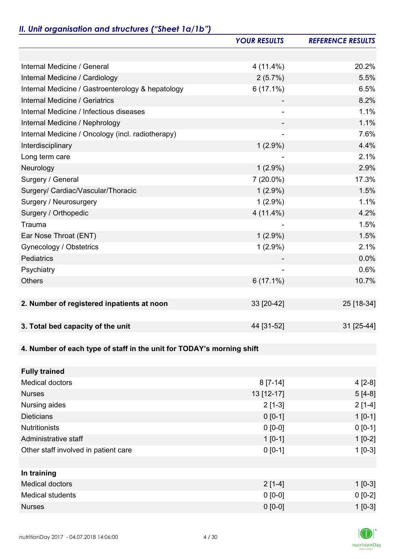### *II. Unit organisation and structures ("Sheet 1a/1b")*

|                                                                       | <b>YOUR RESULTS</b> | <b>REFERENCE RESULTS</b> |
|-----------------------------------------------------------------------|---------------------|--------------------------|
|                                                                       |                     |                          |
| Internal Medicine / General                                           | $4(11.4\%)$         | 20.2%                    |
| Internal Medicine / Cardiology                                        | 2(5.7%)             | 5.5%                     |
| Internal Medicine / Gastroenterology & hepatology                     | $6(17.1\%)$         | 6.5%                     |
| Internal Medicine / Geriatrics                                        |                     | 8.2%                     |
| Internal Medicine / Infectious diseases                               |                     | 1.1%                     |
| Internal Medicine / Nephrology                                        |                     | 1.1%                     |
| Internal Medicine / Oncology (incl. radiotherapy)                     |                     | 7.6%                     |
| Interdisciplinary                                                     | $1(2.9\%)$          | 4.4%                     |
| Long term care                                                        |                     | 2.1%                     |
| Neurology                                                             | $1(2.9\%)$          | 2.9%                     |
| Surgery / General                                                     | $7(20.0\%)$         | 17.3%                    |
| Surgery/ Cardiac/Vascular/Thoracic                                    | $1(2.9\%)$          | 1.5%                     |
| Surgery / Neurosurgery                                                | $1(2.9\%)$          | 1.1%                     |
| Surgery / Orthopedic                                                  | $4(11.4\%)$         | 4.2%                     |
| Trauma                                                                |                     | 1.5%                     |
| Ear Nose Throat (ENT)                                                 | $1(2.9\%)$          | 1.5%                     |
| Gynecology / Obstetrics                                               | $1(2.9\%)$          | 2.1%                     |
| <b>Pediatrics</b>                                                     |                     | 0.0%                     |
| Psychiatry                                                            |                     | 0.6%                     |
| <b>Others</b>                                                         | $6(17.1\%)$         | 10.7%                    |
|                                                                       |                     |                          |
| 2. Number of registered inpatients at noon                            | 33 [20-42]          | 25 [18-34]               |
|                                                                       |                     |                          |
| 3. Total bed capacity of the unit                                     | 44 [31-52]          | 31 [25-44]               |
|                                                                       |                     |                          |
| 4. Number of each type of staff in the unit for TODAY's morning shift |                     |                          |
|                                                                       |                     |                          |
| <b>Fully trained</b>                                                  |                     |                          |
| <b>Medical doctors</b>                                                | $8[7-14]$           | $4[2-8]$                 |
| <b>Nurses</b>                                                         | 13 [12-17]          | $5[4-8]$                 |
| Nursing aides                                                         | $2[1-3]$            | $2[1-4]$                 |
| <b>Dieticians</b>                                                     | $0 [0-1]$           | $1 [0-1]$                |
| <b>Nutritionists</b>                                                  | $0 [0-0]$           | $0 [0-1]$                |
| Administrative staff                                                  | $1[0-1]$            | $1[0-2]$                 |
| Other staff involved in patient care                                  | $0 [0-1]$           | $1[0-3]$                 |
|                                                                       |                     |                          |
| In training                                                           |                     |                          |
| <b>Medical doctors</b>                                                | $2[1-4]$            | $1$ [0-3]                |
| <b>Medical students</b>                                               | $0 [0-0]$           | $0 [0-2]$                |
| <b>Nurses</b>                                                         | $0 [0-0]$           | $1 [0-3]$                |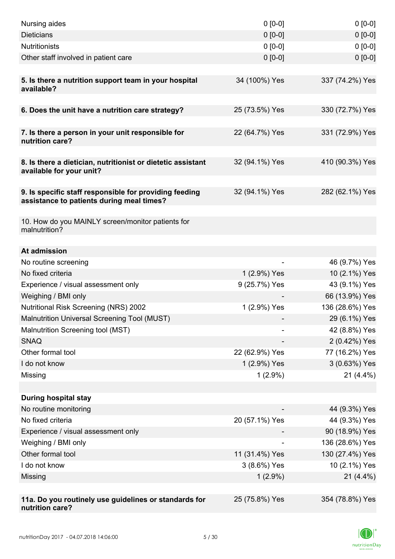| Nursing aides                                                                                       | $0 [0-0]$      | $0 [0-0]$       |
|-----------------------------------------------------------------------------------------------------|----------------|-----------------|
| <b>Dieticians</b>                                                                                   | $0 [0-0]$      | $0 [0-0]$       |
| <b>Nutritionists</b>                                                                                | $0 [0-0]$      | $0 [0-0]$       |
| Other staff involved in patient care                                                                | $0 [0-0]$      | $0 [0-0]$       |
|                                                                                                     |                |                 |
| 5. Is there a nutrition support team in your hospital<br>available?                                 | 34 (100%) Yes  | 337 (74.2%) Yes |
| 6. Does the unit have a nutrition care strategy?                                                    | 25 (73.5%) Yes | 330 (72.7%) Yes |
|                                                                                                     |                |                 |
| 7. Is there a person in your unit responsible for<br>nutrition care?                                | 22 (64.7%) Yes | 331 (72.9%) Yes |
| 8. Is there a dietician, nutritionist or dietetic assistant<br>available for your unit?             | 32 (94.1%) Yes | 410 (90.3%) Yes |
| 9. Is specific staff responsible for providing feeding<br>assistance to patients during meal times? | 32 (94.1%) Yes | 282 (62.1%) Yes |
| 10. How do you MAINLY screen/monitor patients for<br>malnutrition?                                  |                |                 |
| At admission                                                                                        |                |                 |
| No routine screening                                                                                |                | 46 (9.7%) Yes   |
| No fixed criteria                                                                                   | 1 (2.9%) Yes   | 10 (2.1%) Yes   |
| Experience / visual assessment only                                                                 | 9 (25.7%) Yes  | 43 (9.1%) Yes   |
| Weighing / BMI only                                                                                 |                | 66 (13.9%) Yes  |
| Nutritional Risk Screening (NRS) 2002                                                               | 1 (2.9%) Yes   | 136 (28.6%) Yes |
| Malnutrition Universal Screening Tool (MUST)                                                        |                | 29 (6.1%) Yes   |
| Malnutrition Screening tool (MST)                                                                   |                | 42 (8.8%) Yes   |
| <b>SNAQ</b>                                                                                         |                | 2 (0.42%) Yes   |
| Other formal tool                                                                                   | 22 (62.9%) Yes | 77 (16.2%) Yes  |
| I do not know                                                                                       | 1 (2.9%) Yes   | 3 (0.63%) Yes   |
| Missing                                                                                             | $1(2.9\%)$     | $21(4.4\%)$     |
|                                                                                                     |                |                 |
| <b>During hospital stay</b>                                                                         |                |                 |
| No routine monitoring                                                                               |                | 44 (9.3%) Yes   |
| No fixed criteria                                                                                   | 20 (57.1%) Yes | 44 (9.3%) Yes   |
| Experience / visual assessment only                                                                 |                | 90 (18.9%) Yes  |
| Weighing / BMI only                                                                                 |                | 136 (28.6%) Yes |
| Other formal tool                                                                                   | 11 (31.4%) Yes | 130 (27.4%) Yes |
| I do not know                                                                                       | 3 (8.6%) Yes   | 10 (2.1%) Yes   |
| Missing                                                                                             | $1(2.9\%)$     | $21(4.4\%)$     |
|                                                                                                     |                |                 |
| 11a. Do you routinely use guidelines or standards for<br>nutrition care?                            | 25 (75.8%) Yes | 354 (78.8%) Yes |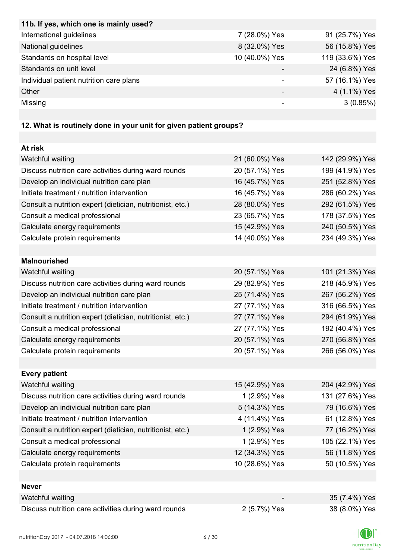| 11b. If yes, which one is mainly used?  |                |                 |
|-----------------------------------------|----------------|-----------------|
| International guidelines                | 7 (28.0%) Yes  | 91 (25.7%) Yes  |
| National guidelines                     | 8 (32.0%) Yes  | 56 (15.8%) Yes  |
| Standards on hospital level             | 10 (40.0%) Yes | 119 (33.6%) Yes |
| Standards on unit level                 |                | 24 (6.8%) Yes   |
| Individual patient nutrition care plans |                | 57 (16.1%) Yes  |
| Other                                   |                | 4 (1.1%) Yes    |
| Missing                                 |                | 3(0.85%)        |
|                                         |                |                 |

# **12. What is routinely done in your unit for given patient groups?**

| At risk                                                    |                |                 |
|------------------------------------------------------------|----------------|-----------------|
| Watchful waiting                                           | 21 (60.0%) Yes | 142 (29.9%) Yes |
| Discuss nutrition care activities during ward rounds       | 20 (57.1%) Yes | 199 (41.9%) Yes |
| Develop an individual nutrition care plan                  | 16 (45.7%) Yes | 251 (52.8%) Yes |
| Initiate treatment / nutrition intervention                | 16 (45.7%) Yes | 286 (60.2%) Yes |
| Consult a nutrition expert (dietician, nutritionist, etc.) | 28 (80.0%) Yes | 292 (61.5%) Yes |
| Consult a medical professional                             | 23 (65.7%) Yes | 178 (37.5%) Yes |
| Calculate energy requirements                              | 15 (42.9%) Yes | 240 (50.5%) Yes |
| Calculate protein requirements                             | 14 (40.0%) Yes | 234 (49.3%) Yes |
| <b>Malnourished</b>                                        |                |                 |
| Watchful waiting                                           | 20 (57.1%) Yes | 101 (21.3%) Yes |
| Discuss nutrition care activities during ward rounds       | 29 (82.9%) Yes | 218 (45.9%) Yes |
| Develop an individual nutrition care plan                  | 25 (71.4%) Yes | 267 (56.2%) Yes |
| Initiate treatment / nutrition intervention                | 27 (77.1%) Yes | 316 (66.5%) Yes |
| Consult a nutrition expert (dietician, nutritionist, etc.) | 27 (77.1%) Yes | 294 (61.9%) Yes |
| Consult a medical professional                             | 27 (77.1%) Yes | 192 (40.4%) Yes |
| Calculate energy requirements                              | 20 (57.1%) Yes | 270 (56.8%) Yes |
| Calculate protein requirements                             | 20 (57.1%) Yes | 266 (56.0%) Yes |
|                                                            |                |                 |
| <b>Every patient</b>                                       |                |                 |
| Watchful waiting                                           | 15 (42.9%) Yes | 204 (42.9%) Yes |
| Discuss nutrition care activities during ward rounds       | 1 (2.9%) Yes   | 131 (27.6%) Yes |
| Develop an individual nutrition care plan                  | 5 (14.3%) Yes  | 79 (16.6%) Yes  |
| Initiate treatment / nutrition intervention                | 4 (11.4%) Yes  | 61 (12.8%) Yes  |
| Consult a nutrition expert (dietician, nutritionist, etc.) | 1 (2.9%) Yes   | 77 (16.2%) Yes  |
| Consult a medical professional                             | 1 (2.9%) Yes   | 105 (22.1%) Yes |
| Calculate energy requirements                              | 12 (34.3%) Yes | 56 (11.8%) Yes  |
| Calculate protein requirements                             | 10 (28.6%) Yes | 50 (10.5%) Yes  |
|                                                            |                |                 |
| <b>Never</b>                                               |                |                 |
| Watchful waiting                                           |                | 35 (7.4%) Yes   |
| Discuss nutrition care activities during ward rounds       | 2 (5.7%) Yes   | 38 (8.0%) Yes   |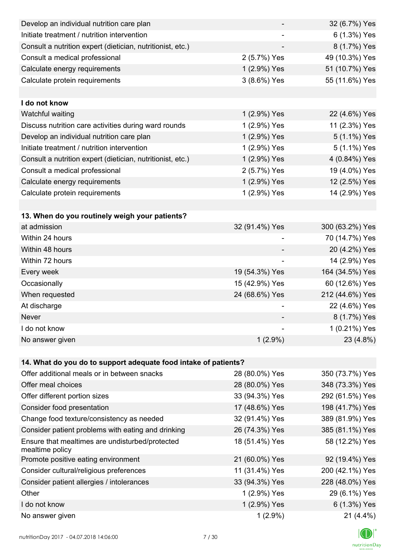| Develop an individual nutrition care plan                          |                | 32 (6.7%) Yes   |
|--------------------------------------------------------------------|----------------|-----------------|
| Initiate treatment / nutrition intervention                        |                | 6 (1.3%) Yes    |
| Consult a nutrition expert (dietician, nutritionist, etc.)         |                | 8 (1.7%) Yes    |
| Consult a medical professional                                     | 2 (5.7%) Yes   | 49 (10.3%) Yes  |
| Calculate energy requirements                                      | 1 (2.9%) Yes   | 51 (10.7%) Yes  |
| Calculate protein requirements                                     | 3 (8.6%) Yes   | 55 (11.6%) Yes  |
|                                                                    |                |                 |
| I do not know                                                      |                |                 |
| Watchful waiting                                                   | 1 (2.9%) Yes   | 22 (4.6%) Yes   |
| Discuss nutrition care activities during ward rounds               | 1 (2.9%) Yes   | 11 (2.3%) Yes   |
| Develop an individual nutrition care plan                          | 1 (2.9%) Yes   | 5 (1.1%) Yes    |
| Initiate treatment / nutrition intervention                        | 1 (2.9%) Yes   | 5 (1.1%) Yes    |
| Consult a nutrition expert (dietician, nutritionist, etc.)         | 1 (2.9%) Yes   | 4 (0.84%) Yes   |
| Consult a medical professional                                     | 2 (5.7%) Yes   | 19 (4.0%) Yes   |
| Calculate energy requirements                                      | 1 (2.9%) Yes   | 12 (2.5%) Yes   |
| Calculate protein requirements                                     | 1 (2.9%) Yes   | 14 (2.9%) Yes   |
|                                                                    |                |                 |
| 13. When do you routinely weigh your patients?                     |                |                 |
| at admission                                                       | 32 (91.4%) Yes | 300 (63.2%) Yes |
| Within 24 hours                                                    |                | 70 (14.7%) Yes  |
| Within 48 hours                                                    |                | 20 (4.2%) Yes   |
| Within 72 hours                                                    |                | 14 (2.9%) Yes   |
| Every week                                                         | 19 (54.3%) Yes | 164 (34.5%) Yes |
| Occasionally                                                       | 15 (42.9%) Yes | 60 (12.6%) Yes  |
| When requested                                                     | 24 (68.6%) Yes | 212 (44.6%) Yes |
| At discharge                                                       |                | 22 (4.6%) Yes   |
| Never                                                              |                | 8 (1.7%) Yes    |
| I do not know                                                      |                | 1 (0.21%) Yes   |
| No answer given                                                    | $1(2.9\%)$     | 23 (4.8%)       |
|                                                                    |                |                 |
| 14. What do you do to support adequate food intake of patients?    |                |                 |
| Offer additional meals or in between snacks                        | 28 (80.0%) Yes | 350 (73.7%) Yes |
| Offer meal choices                                                 | 28 (80.0%) Yes | 348 (73.3%) Yes |
| Offer different portion sizes                                      | 33 (94.3%) Yes | 292 (61.5%) Yes |
| Consider food presentation                                         | 17 (48.6%) Yes | 198 (41.7%) Yes |
| Change food texture/consistency as needed                          | 32 (91.4%) Yes | 389 (81.9%) Yes |
| Consider patient problems with eating and drinking                 | 26 (74.3%) Yes | 385 (81.1%) Yes |
| Ensure that mealtimes are undisturbed/protected<br>mealtime policy | 18 (51.4%) Yes | 58 (12.2%) Yes  |
| Promote positive eating environment                                | 21 (60.0%) Yes | 92 (19.4%) Yes  |
| Consider cultural/religious preferences                            | 11 (31.4%) Yes | 200 (42.1%) Yes |
| Consider patient allergies / intolerances                          | 33 (94.3%) Yes | 228 (48.0%) Yes |
| Other                                                              | 1 (2.9%) Yes   | 29 (6.1%) Yes   |
| I do not know                                                      | 1 (2.9%) Yes   | 6 (1.3%) Yes    |
| No answer given                                                    | $1(2.9\%)$     | 21 (4.4%)       |

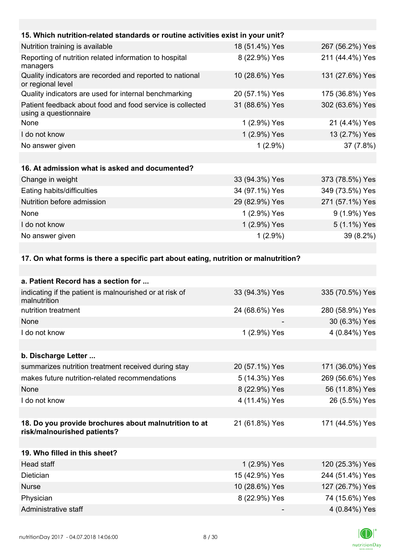| 15. Which nutrition-related standards or routine activities exist in your unit?     |                |                 |  |
|-------------------------------------------------------------------------------------|----------------|-----------------|--|
| Nutrition training is available                                                     | 18 (51.4%) Yes | 267 (56.2%) Yes |  |
| Reporting of nutrition related information to hospital<br>managers                  | 8 (22.9%) Yes  | 211 (44.4%) Yes |  |
| Quality indicators are recorded and reported to national<br>or regional level       | 10 (28.6%) Yes | 131 (27.6%) Yes |  |
| Quality indicators are used for internal benchmarking                               | 20 (57.1%) Yes | 175 (36.8%) Yes |  |
| Patient feedback about food and food service is collected<br>using a questionnaire  | 31 (88.6%) Yes | 302 (63.6%) Yes |  |
| None                                                                                | 1 (2.9%) Yes   | 21 (4.4%) Yes   |  |
| I do not know                                                                       | 1 (2.9%) Yes   | 13 (2.7%) Yes   |  |
| No answer given                                                                     | $1(2.9\%)$     | 37 (7.8%)       |  |
|                                                                                     |                |                 |  |
| 16. At admission what is asked and documented?                                      |                |                 |  |
| Change in weight                                                                    | 33 (94.3%) Yes | 373 (78.5%) Yes |  |
| Eating habits/difficulties                                                          | 34 (97.1%) Yes | 349 (73.5%) Yes |  |
| Nutrition before admission                                                          | 29 (82.9%) Yes | 271 (57.1%) Yes |  |
| None                                                                                | 1 (2.9%) Yes   | 9 (1.9%) Yes    |  |
| I do not know                                                                       | 1 (2.9%) Yes   | 5 (1.1%) Yes    |  |
| No answer given                                                                     | $1(2.9\%)$     | 39 (8.2%)       |  |
|                                                                                     |                |                 |  |
| 17. On what forms is there a specific part about eating, nutrition or malnutrition? |                |                 |  |

| a. Patient Record has a section for                                                  |                |                 |
|--------------------------------------------------------------------------------------|----------------|-----------------|
| indicating if the patient is malnourished or at risk of<br>malnutrition              | 33 (94.3%) Yes | 335 (70.5%) Yes |
| nutrition treatment                                                                  | 24 (68.6%) Yes | 280 (58.9%) Yes |
| None                                                                                 |                | 30 (6.3%) Yes   |
| I do not know                                                                        | 1 (2.9%) Yes   | 4 (0.84%) Yes   |
|                                                                                      |                |                 |
| b. Discharge Letter                                                                  |                |                 |
| summarizes nutrition treatment received during stay                                  | 20 (57.1%) Yes | 171 (36.0%) Yes |
| makes future nutrition-related recommendations                                       | 5 (14.3%) Yes  | 269 (56.6%) Yes |
| None                                                                                 | 8 (22.9%) Yes  | 56 (11.8%) Yes  |
| I do not know                                                                        | 4 (11.4%) Yes  | 26 (5.5%) Yes   |
|                                                                                      |                |                 |
| 18. Do you provide brochures about malnutrition to at<br>risk/malnourished patients? | 21 (61.8%) Yes | 171 (44.5%) Yes |
|                                                                                      |                |                 |
| 19. Who filled in this sheet?                                                        |                |                 |
| Head staff                                                                           | 1 (2.9%) Yes   | 120 (25.3%) Yes |
| Dietician                                                                            | 15 (42.9%) Yes | 244 (51.4%) Yes |
| <b>Nurse</b>                                                                         | 10 (28.6%) Yes | 127 (26.7%) Yes |
| Physician                                                                            | 8 (22.9%) Yes  | 74 (15.6%) Yes  |
| Administrative staff                                                                 |                | 4 (0.84%) Yes   |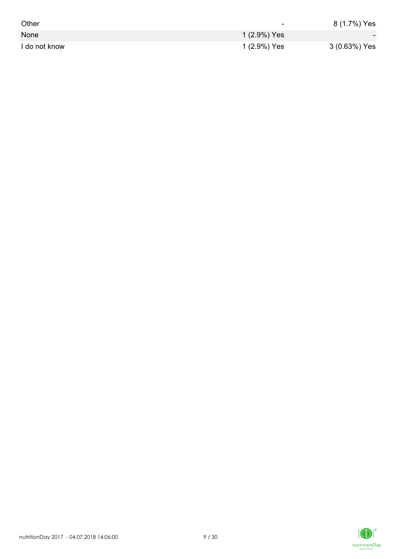| Other         | ٠            | 8 (1.7%) Yes  |
|---------------|--------------|---------------|
| None          | 1 (2.9%) Yes |               |
| I do not know | 1 (2.9%) Yes | 3 (0.63%) Yes |

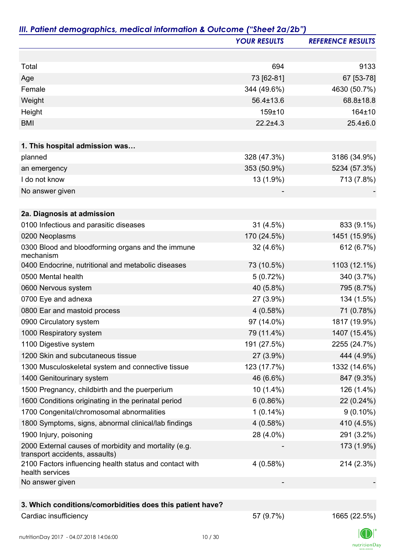|                                                                                         | <b>YOUR RESULTS</b> | <b>REFERENCE RESULTS</b> |
|-----------------------------------------------------------------------------------------|---------------------|--------------------------|
|                                                                                         |                     |                          |
| Total                                                                                   | 694                 | 9133                     |
| Age                                                                                     | 73 [62-81]          | 67 [53-78]               |
| Female                                                                                  | 344 (49.6%)         | 4630 (50.7%)             |
| Weight                                                                                  | 56.4±13.6           | 68.8±18.8                |
| Height                                                                                  | 159±10              | 164±10                   |
| <b>BMI</b>                                                                              | $22.2 \pm 4.3$      | $25.4 \pm 6.0$           |
|                                                                                         |                     |                          |
| 1. This hospital admission was                                                          |                     |                          |
| planned                                                                                 | 328 (47.3%)         | 3186 (34.9%)             |
| an emergency                                                                            | 353 (50.9%)         | 5234 (57.3%)             |
| I do not know                                                                           | 13 (1.9%)           | 713 (7.8%)               |
| No answer given                                                                         |                     |                          |
| 2a. Diagnosis at admission                                                              |                     |                          |
| 0100 Infectious and parasitic diseases                                                  | $31(4.5\%)$         | 833 (9.1%)               |
| 0200 Neoplasms                                                                          | 170 (24.5%)         | 1451 (15.9%)             |
| 0300 Blood and bloodforming organs and the immune<br>mechanism                          | $32(4.6\%)$         | 612 (6.7%)               |
| 0400 Endocrine, nutritional and metabolic diseases                                      | 73 (10.5%)          | 1103 (12.1%)             |
| 0500 Mental health                                                                      | 5(0.72%)            | 340 (3.7%)               |
| 0600 Nervous system                                                                     | 40 (5.8%)           | 795 (8.7%)               |
| 0700 Eye and adnexa                                                                     | 27 (3.9%)           | 134 (1.5%)               |
| 0800 Ear and mastoid process                                                            | 4(0.58%)            | 71 (0.78%)               |
| 0900 Circulatory system                                                                 | 97 (14.0%)          | 1817 (19.9%)             |
| 1000 Respiratory system                                                                 | 79 (11.4%)          | 1407 (15.4%)             |
| 1100 Digestive system                                                                   | 191 (27.5%)         | 2255 (24.7%)             |
| 1200 Skin and subcutaneous tissue                                                       | 27 (3.9%)           | 444 (4.9%)               |
| 1300 Musculoskeletal system and connective tissue                                       | 123 (17.7%)         | 1332 (14.6%)             |
| 1400 Genitourinary system                                                               | 46 (6.6%)           | 847 (9.3%)               |
| 1500 Pregnancy, childbirth and the puerperium                                           | 10 (1.4%)           | 126 (1.4%)               |
| 1600 Conditions originating in the perinatal period                                     | 6(0.86%)            | 22 (0.24%)               |
| 1700 Congenital/chromosomal abnormalities                                               | $1(0.14\%)$         | $9(0.10\%)$              |
| 1800 Symptoms, signs, abnormal clinical/lab findings                                    | 4(0.58%)            | 410 (4.5%)               |
| 1900 Injury, poisoning                                                                  | 28 (4.0%)           | 291 (3.2%)               |
| 2000 External causes of morbidity and mortality (e.g.<br>transport accidents, assaults) |                     | 173 (1.9%)               |
| 2100 Factors influencing health status and contact with<br>health services              | 4(0.58%)            | 214 (2.3%)               |
| No answer given                                                                         |                     |                          |
| 3. Which conditions/comorbidities does this patient have?                               |                     |                          |
| Cardiac insufficiency                                                                   | 57 (9.7%)           | 1665 (22.5%)             |

 $\label{eq:2} \mathsf{nutritionDay}$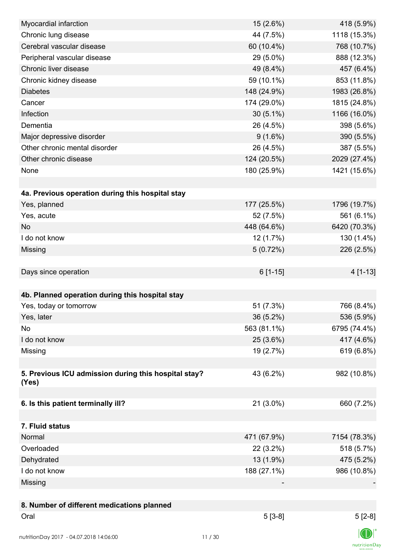| Myocardial infarction                                         | 15 (2.6%)   | 418 (5.9%)   |
|---------------------------------------------------------------|-------------|--------------|
| Chronic lung disease                                          | 44 (7.5%)   | 1118 (15.3%) |
| Cerebral vascular disease                                     | 60 (10.4%)  | 768 (10.7%)  |
| Peripheral vascular disease                                   | 29 (5.0%)   | 888 (12.3%)  |
| Chronic liver disease                                         | 49 (8.4%)   | 457 (6.4%)   |
| Chronic kidney disease                                        | 59 (10.1%)  | 853 (11.8%)  |
| <b>Diabetes</b>                                               | 148 (24.9%) | 1983 (26.8%) |
| Cancer                                                        | 174 (29.0%) | 1815 (24.8%) |
| Infection                                                     | $30(5.1\%)$ | 1166 (16.0%) |
| Dementia                                                      | 26 (4.5%)   | 398 (5.6%)   |
| Major depressive disorder                                     | $9(1.6\%)$  | 390 (5.5%)   |
| Other chronic mental disorder                                 | 26 (4.5%)   | 387 (5.5%)   |
| Other chronic disease                                         | 124 (20.5%) | 2029 (27.4%) |
| None                                                          | 180 (25.9%) | 1421 (15.6%) |
|                                                               |             |              |
| 4a. Previous operation during this hospital stay              |             |              |
| Yes, planned                                                  | 177 (25.5%) | 1796 (19.7%) |
| Yes, acute                                                    | 52 (7.5%)   | 561 (6.1%)   |
| <b>No</b>                                                     | 448 (64.6%) | 6420 (70.3%) |
| I do not know                                                 | 12(1.7%)    | 130 (1.4%)   |
| Missing                                                       | 5(0.72%)    | 226 (2.5%)   |
|                                                               |             |              |
| Days since operation                                          | $6[1-15]$   | 4 [1-13]     |
|                                                               |             |              |
| 4b. Planned operation during this hospital stay               |             |              |
| Yes, today or tomorrow                                        | 51 (7.3%)   | 766 (8.4%)   |
|                                                               |             |              |
| Yes, later                                                    | 36 (5.2%)   | 536 (5.9%)   |
| No                                                            | 563 (81.1%) | 6795 (74.4%) |
| I do not know                                                 | 25 (3.6%)   | 417 (4.6%)   |
| Missing                                                       | 19 (2.7%)   | 619 (6.8%)   |
|                                                               |             |              |
| 5. Previous ICU admission during this hospital stay?<br>(Yes) | 43 (6.2%)   | 982 (10.8%)  |
|                                                               |             |              |
| 6. Is this patient terminally ill?                            | 21 (3.0%)   | 660 (7.2%)   |
|                                                               |             |              |
| 7. Fluid status                                               |             |              |
| Normal                                                        | 471 (67.9%) | 7154 (78.3%) |
| Overloaded                                                    | $22(3.2\%)$ | 518 (5.7%)   |
| Dehydrated                                                    | 13 (1.9%)   | 475 (5.2%)   |
| I do not know                                                 | 188 (27.1%) | 986 (10.8%)  |
|                                                               |             |              |
| Missing                                                       |             |              |
|                                                               |             |              |
| 8. Number of different medications planned                    |             |              |
| Oral                                                          | $5[3-8]$    | $5[2-8]$     |
| nutritionDay 2017 - 04.07.2018 14:06:00                       | 11/30       |              |

 $\textsf{nutritionDay}$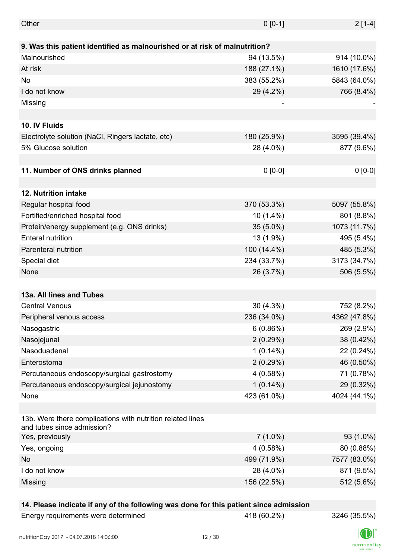| Other                                                                      | $0 [0-1]$   | $2[1-4]$     |
|----------------------------------------------------------------------------|-------------|--------------|
|                                                                            |             |              |
| 9. Was this patient identified as malnourished or at risk of malnutrition? |             |              |
| Malnourished                                                               | 94 (13.5%)  | 914 (10.0%)  |
| At risk                                                                    | 188 (27.1%) | 1610 (17.6%) |
| No                                                                         | 383 (55.2%) | 5843 (64.0%) |
| I do not know                                                              | 29 (4.2%)   | 766 (8.4%)   |
| Missing                                                                    |             |              |
|                                                                            |             |              |
| 10. IV Fluids                                                              |             |              |
| Electrolyte solution (NaCl, Ringers lactate, etc)                          | 180 (25.9%) | 3595 (39.4%) |
| 5% Glucose solution                                                        | 28 (4.0%)   | 877 (9.6%)   |
|                                                                            |             |              |
| 11. Number of ONS drinks planned                                           | $0 [0-0]$   | $0 [0-0]$    |
|                                                                            |             |              |
| 12. Nutrition intake                                                       |             |              |
| Regular hospital food                                                      | 370 (53.3%) | 5097 (55.8%) |
| Fortified/enriched hospital food                                           | $10(1.4\%)$ | 801 (8.8%)   |
| Protein/energy supplement (e.g. ONS drinks)                                | 35 (5.0%)   | 1073 (11.7%) |
| <b>Enteral nutrition</b>                                                   | 13 (1.9%)   | 495 (5.4%)   |
| <b>Parenteral nutrition</b>                                                | 100 (14.4%) | 485 (5.3%)   |
| Special diet                                                               | 234 (33.7%) | 3173 (34.7%) |
| None                                                                       | 26 (3.7%)   | 506 (5.5%)   |
|                                                                            |             |              |
| 13a. All lines and Tubes                                                   |             |              |
| <b>Central Venous</b>                                                      | $30(4.3\%)$ | 752 (8.2%)   |
| Peripheral venous access                                                   | 236 (34.0%) | 4362 (47.8%) |
| Nasogastric                                                                | 6(0.86%)    | 269 (2.9%)   |
| Nasojejunal                                                                | 2(0.29%)    | 38 (0.42%)   |
| Nasoduadenal                                                               | $1(0.14\%)$ | 22 (0.24%)   |
| Enterostoma                                                                | 2(0.29%)    | 46 (0.50%)   |
| Percutaneous endoscopy/surgical gastrostomy                                | 4(0.58%)    | 71 (0.78%)   |
|                                                                            |             |              |
| Percutaneous endoscopy/surgical jejunostomy                                | $1(0.14\%)$ | 29 (0.32%)   |
| None                                                                       | 423 (61.0%) | 4024 (44.1%) |
| 13b. Were there complications with nutrition related lines                 |             |              |
| and tubes since admission?                                                 |             |              |
| Yes, previously                                                            | $7(1.0\%)$  | 93 (1.0%)    |
| Yes, ongoing                                                               | 4(0.58%)    | 80 (0.88%)   |
| No                                                                         | 499 (71.9%) | 7577 (83.0%) |
| I do not know                                                              | 28 (4.0%)   | 871 (9.5%)   |
| Missing                                                                    | 156 (22.5%) | 512 (5.6%)   |
|                                                                            |             |              |

#### **14. Please indicate if any of the following was done for this patient since admission**

Energy requirements were determined 418 (60.2%) 3246 (35.5%)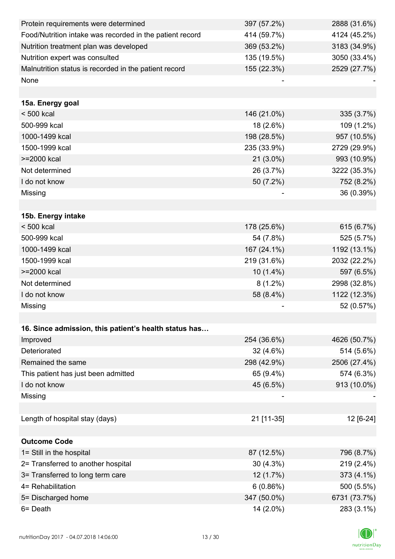| Protein requirements were determined                     | 397 (57.2%) | 2888 (31.6%) |
|----------------------------------------------------------|-------------|--------------|
| Food/Nutrition intake was recorded in the patient record | 414 (59.7%) | 4124 (45.2%) |
| Nutrition treatment plan was developed                   | 369 (53.2%) | 3183 (34.9%) |
| Nutrition expert was consulted                           | 135 (19.5%) | 3050 (33.4%) |
| Malnutrition status is recorded in the patient record    | 155 (22.3%) | 2529 (27.7%) |
| None                                                     |             |              |
|                                                          |             |              |
| 15a. Energy goal                                         |             |              |
| $< 500$ kcal                                             | 146 (21.0%) | 335 (3.7%)   |
| 500-999 kcal                                             | 18 (2.6%)   | 109 (1.2%)   |
| 1000-1499 kcal                                           | 198 (28.5%) | 957 (10.5%)  |
| 1500-1999 kcal                                           | 235 (33.9%) | 2729 (29.9%) |
| >=2000 kcal                                              | 21 (3.0%)   | 993 (10.9%)  |
| Not determined                                           | 26 (3.7%)   | 3222 (35.3%) |
| I do not know                                            | 50 (7.2%)   | 752 (8.2%)   |
| Missing                                                  |             | 36 (0.39%)   |
|                                                          |             |              |
| 15b. Energy intake                                       |             |              |
| $< 500$ kcal                                             | 178 (25.6%) | 615 (6.7%)   |
| 500-999 kcal                                             | 54 (7.8%)   | 525 (5.7%)   |
| 1000-1499 kcal                                           | 167 (24.1%) | 1192 (13.1%) |
| 1500-1999 kcal                                           | 219 (31.6%) | 2032 (22.2%) |
| >=2000 kcal                                              | $10(1.4\%)$ | 597 (6.5%)   |
| Not determined                                           | $8(1.2\%)$  | 2998 (32.8%) |
| I do not know                                            | 58 (8.4%)   | 1122 (12.3%) |
| Missing                                                  |             | 52 (0.57%)   |
|                                                          |             |              |
| 16. Since admission, this patient's health status has    |             |              |
| Improved                                                 | 254 (36.6%) | 4626 (50.7%) |
| Deteriorated                                             | 32 (4.6%)   | 514 (5.6%)   |
| Remained the same                                        | 298 (42.9%) | 2506 (27.4%) |
| This patient has just been admitted                      | 65 (9.4%)   | 574 (6.3%)   |
| I do not know                                            | 45 (6.5%)   | 913 (10.0%)  |
| Missing                                                  |             |              |
|                                                          |             |              |
| Length of hospital stay (days)                           | 21 [11-35]  | 12 [6-24]    |
|                                                          |             |              |
| <b>Outcome Code</b>                                      |             |              |
| 1= Still in the hospital                                 | 87 (12.5%)  | 796 (8.7%)   |
| 2= Transferred to another hospital                       | $30(4.3\%)$ | 219 (2.4%)   |
| 3= Transferred to long term care                         | 12 (1.7%)   | 373 (4.1%)   |
| 4= Rehabilitation                                        | 6(0.86%)    | 500 (5.5%)   |
| 5= Discharged home                                       | 347 (50.0%) | 6731 (73.7%) |
| 6= Death                                                 | 14 (2.0%)   | 283 (3.1%)   |

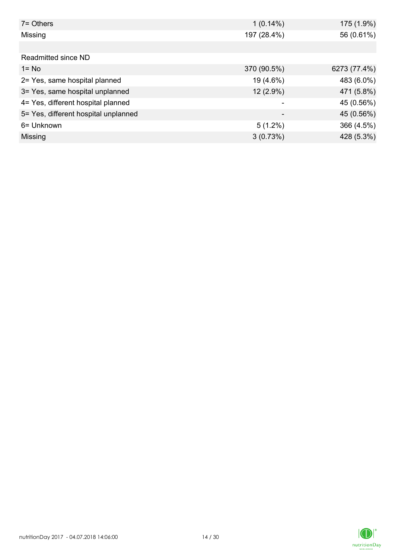| $7 =$ Others                         | $1(0.14\%)$ | 175 (1.9%)   |
|--------------------------------------|-------------|--------------|
| Missing                              | 197 (28.4%) | 56 (0.61%)   |
|                                      |             |              |
| Readmitted since ND                  |             |              |
| $1 = No$                             | 370 (90.5%) | 6273 (77.4%) |
| 2= Yes, same hospital planned        | 19 (4.6%)   | 483 (6.0%)   |
| 3= Yes, same hospital unplanned      | 12 (2.9%)   | 471 (5.8%)   |
| 4= Yes, different hospital planned   |             | 45 (0.56%)   |
| 5= Yes, different hospital unplanned |             | 45 (0.56%)   |
| 6= Unknown                           | $5(1.2\%)$  | 366 (4.5%)   |
| Missing                              | 3(0.73%)    | 428 (5.3%)   |

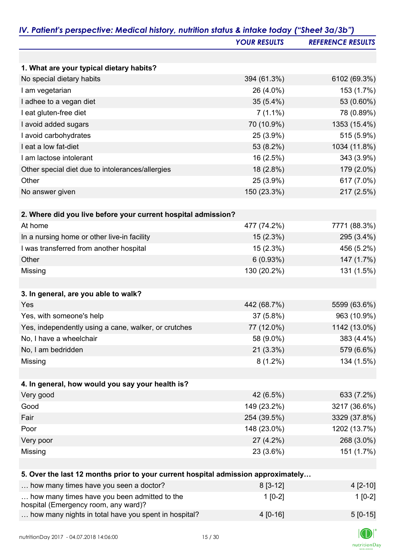|                                                                                      | <b>YOUR RESULTS</b> | <b>REFERENCE RESULTS</b> |
|--------------------------------------------------------------------------------------|---------------------|--------------------------|
|                                                                                      |                     |                          |
| 1. What are your typical dietary habits?                                             |                     |                          |
| No special dietary habits                                                            | 394 (61.3%)         | 6102 (69.3%)             |
| I am vegetarian                                                                      | 26 (4.0%)           | 153 (1.7%)               |
| I adhee to a vegan diet                                                              | $35(5.4\%)$         | 53 (0.60%)               |
| I eat gluten-free diet                                                               | $7(1.1\%)$          | 78 (0.89%)               |
| I avoid added sugars                                                                 | 70 (10.9%)          | 1353 (15.4%)             |
| I avoid carbohydrates                                                                | 25 (3.9%)           | 515 (5.9%)               |
| I eat a low fat-diet                                                                 | 53 (8.2%)           | 1034 (11.8%)             |
| I am lactose intolerant                                                              | 16 (2.5%)           | 343 (3.9%)               |
| Other special diet due to intolerances/allergies                                     | 18 (2.8%)           | 179 (2.0%)               |
| Other                                                                                | 25 (3.9%)           | 617 (7.0%)               |
| No answer given                                                                      | 150 (23.3%)         | 217 (2.5%)               |
|                                                                                      |                     |                          |
| 2. Where did you live before your current hospital admission?                        |                     |                          |
| At home                                                                              | 477 (74.2%)         | 7771 (88.3%)             |
| In a nursing home or other live-in facility                                          | 15 (2.3%)           | 295 (3.4%)               |
| I was transferred from another hospital                                              | 15 (2.3%)           | 456 (5.2%)               |
| Other                                                                                | 6(0.93%)            | 147 (1.7%)               |
| Missing                                                                              | 130 (20.2%)         | 131 (1.5%)               |
|                                                                                      |                     |                          |
| 3. In general, are you able to walk?                                                 |                     |                          |
| Yes                                                                                  | 442 (68.7%)         | 5599 (63.6%)             |
| Yes, with someone's help                                                             | 37 (5.8%)           | 963 (10.9%)              |
| Yes, independently using a cane, walker, or crutches                                 | 77 (12.0%)          | 1142 (13.0%)             |
| No, I have a wheelchair                                                              | 58 (9.0%)           | 383 (4.4%)               |
| No, I am bedridden                                                                   | $21(3.3\%)$         | 579 (6.6%)               |
| Missing                                                                              | $8(1.2\%)$          | 134 (1.5%)               |
|                                                                                      |                     |                          |
| 4. In general, how would you say your health is?                                     |                     |                          |
| Very good                                                                            | 42 (6.5%)           | 633 (7.2%)               |
| Good                                                                                 | 149 (23.2%)         | 3217 (36.6%)             |
| Fair                                                                                 | 254 (39.5%)         | 3329 (37.8%)             |
| Poor                                                                                 | 148 (23.0%)         | 1202 (13.7%)             |
| Very poor                                                                            | 27 (4.2%)           | 268 (3.0%)               |
| Missing                                                                              | 23 (3.6%)           | 151 (1.7%)               |
|                                                                                      |                     |                          |
| 5. Over the last 12 months prior to your current hospital admission approximately    |                     |                          |
| how many times have you seen a doctor?                                               | $8[3-12]$           | 4 [2-10]                 |
| how many times have you been admitted to the<br>hospital (Emergency room, any ward)? | $1[0-2]$            | $1[0-2]$                 |
| how many nights in total have you spent in hospital?                                 | 4 [0-16]            | $5[0-15]$                |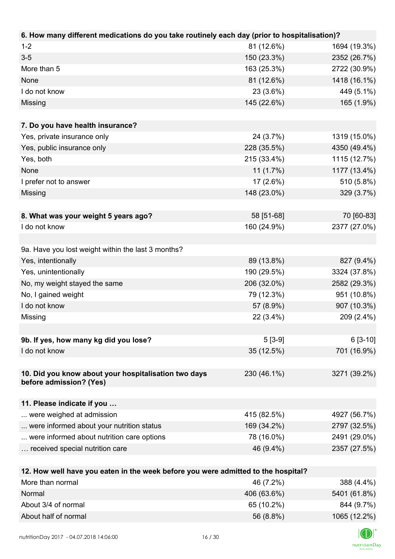| 6. How many different medications do you take routinely each day (prior to hospitalisation)? |             |              |
|----------------------------------------------------------------------------------------------|-------------|--------------|
| $1 - 2$                                                                                      | 81 (12.6%)  | 1694 (19.3%) |
| $3 - 5$                                                                                      | 150 (23.3%) | 2352 (26.7%) |
| More than 5                                                                                  | 163 (25.3%) | 2722 (30.9%) |
| None                                                                                         | 81 (12.6%)  | 1418 (16.1%) |
| I do not know                                                                                | 23 (3.6%)   | 449 (5.1%)   |
| Missing                                                                                      | 145 (22.6%) | 165 (1.9%)   |
|                                                                                              |             |              |
| 7. Do you have health insurance?                                                             |             |              |
| Yes, private insurance only                                                                  | 24 (3.7%)   | 1319 (15.0%) |
| Yes, public insurance only                                                                   | 228 (35.5%) | 4350 (49.4%) |
| Yes, both                                                                                    | 215 (33.4%) | 1115 (12.7%) |
| None                                                                                         | $11(1.7\%)$ | 1177 (13.4%) |
| I prefer not to answer                                                                       | $17(2.6\%)$ | 510 (5.8%)   |
| Missing                                                                                      | 148 (23.0%) | 329 (3.7%)   |
|                                                                                              |             |              |
| 8. What was your weight 5 years ago?                                                         | 58 [51-68]  | 70 [60-83]   |
| I do not know                                                                                | 160 (24.9%) | 2377 (27.0%) |
|                                                                                              |             |              |
| 9a. Have you lost weight within the last 3 months?                                           |             |              |
| Yes, intentionally                                                                           | 89 (13.8%)  | 827 (9.4%)   |
| Yes, unintentionally                                                                         | 190 (29.5%) | 3324 (37.8%) |
| No, my weight stayed the same                                                                | 206 (32.0%) | 2582 (29.3%) |
| No, I gained weight                                                                          | 79 (12.3%)  | 951 (10.8%)  |
| I do not know                                                                                | 57 (8.9%)   | 907 (10.3%)  |
| Missing                                                                                      | 22 (3.4%)   | 209 (2.4%)   |
|                                                                                              |             |              |
| 9b. If yes, how many kg did you lose?                                                        | $5[3-9]$    | $6[3-10]$    |
| I do not know                                                                                | 35 (12.5%)  | 701 (16.9%)  |
|                                                                                              |             |              |
| 10. Did you know about your hospitalisation two days                                         | 230 (46.1%) | 3271 (39.2%) |
| before admission? (Yes)                                                                      |             |              |
|                                                                                              |             |              |
| 11. Please indicate if you                                                                   |             |              |
| were weighed at admission                                                                    | 415 (82.5%) | 4927 (56.7%) |
| were informed about your nutrition status                                                    | 169 (34.2%) | 2797 (32.5%) |
| were informed about nutrition care options                                                   | 78 (16.0%)  | 2491 (29.0%) |
| received special nutrition care                                                              | 46 (9.4%)   | 2357 (27.5%) |
|                                                                                              |             |              |
| 12. How well have you eaten in the week before you were admitted to the hospital?            |             |              |
| More than normal                                                                             | 46 (7.2%)   | 388 (4.4%)   |
| Normal                                                                                       | 406 (63.6%) | 5401 (61.8%) |

About 3/4 of normal 844 (9.7%) About half of normal and the state of the state of the state of the state of the state of the state of the state of the state of the state of the state of the state of the state of the state of the state of the state of th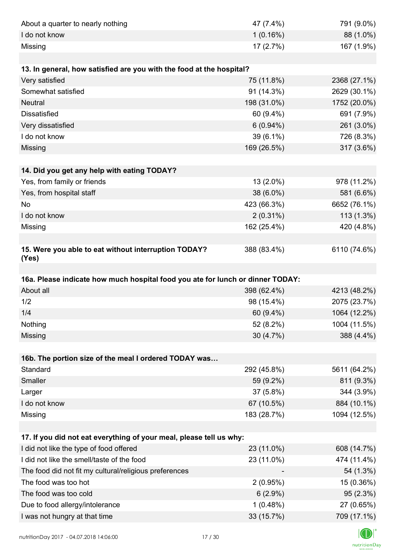| About a quarter to nearly nothing                                              | 47 (7.4%)              | 791 (9.0%)                              |
|--------------------------------------------------------------------------------|------------------------|-----------------------------------------|
| I do not know                                                                  | 1(0.16%)               | 88 (1.0%)                               |
| Missing                                                                        | 17(2.7%)               | 167 (1.9%)                              |
|                                                                                |                        |                                         |
| 13. In general, how satisfied are you with the food at the hospital?           |                        |                                         |
| Very satisfied                                                                 | 75 (11.8%)             | 2368 (27.1%)                            |
| Somewhat satisfied                                                             | 91 (14.3%)             | 2629 (30.1%)                            |
| <b>Neutral</b>                                                                 | 198 (31.0%)            | 1752 (20.0%)                            |
| <b>Dissatisfied</b>                                                            | 60 (9.4%)              | 691 (7.9%)                              |
| Very dissatisfied                                                              | $6(0.94\%)$            | 261 (3.0%)                              |
| I do not know                                                                  | 39 (6.1%)              | 726 (8.3%)                              |
| Missing                                                                        | 169 (26.5%)            | 317 (3.6%)                              |
|                                                                                |                        |                                         |
| 14. Did you get any help with eating TODAY?                                    |                        |                                         |
| Yes, from family or friends                                                    | 13 (2.0%)              | 978 (11.2%)                             |
| Yes, from hospital staff                                                       | 38 (6.0%)              | 581 (6.6%)                              |
| <b>No</b>                                                                      | 423 (66.3%)            | 6652 (76.1%)                            |
| I do not know                                                                  | $2(0.31\%)$            | $113(1.3\%)$                            |
| Missing                                                                        | 162 (25.4%)            | 420 (4.8%)                              |
|                                                                                |                        |                                         |
| 15. Were you able to eat without interruption TODAY?<br>(Yes)                  | 388 (83.4%)            | 6110 (74.6%)                            |
|                                                                                |                        |                                         |
| 16a. Please indicate how much hospital food you ate for lunch or dinner TODAY: |                        |                                         |
| About all                                                                      | 398 (62.4%)            | 4213 (48.2%)                            |
| 1/2                                                                            | 98 (15.4%)             | 2075 (23.7%)                            |
| 1/4                                                                            | 60 (9.4%)              | 1064 (12.2%)                            |
| Nothing                                                                        | 52 (8.2%)              | 1004 (11.5%)                            |
| Missing                                                                        | 30 (4.7%)              | 388 (4.4%)                              |
|                                                                                |                        |                                         |
| 16b. The portion size of the meal I ordered TODAY was                          |                        |                                         |
| Standard                                                                       | 292 (45.8%)            | 5611 (64.2%)                            |
| Smaller                                                                        | 59 (9.2%)              | 811 (9.3%)                              |
| Larger                                                                         | 37 (5.8%)              | 344 (3.9%)                              |
| I do not know                                                                  | 67 (10.5%)             | 884 (10.1%)                             |
| Missing                                                                        | 183 (28.7%)            | 1094 (12.5%)                            |
| 17. If you did not eat everything of your meal, please tell us why:            |                        |                                         |
|                                                                                |                        |                                         |
| I did not like the type of food offered                                        | 23 (11.0%)             |                                         |
| I did not like the smell/taste of the food                                     | 23 (11.0%)             |                                         |
| The food did not fit my cultural/religious preferences                         |                        |                                         |
| The food was too hot                                                           | 2(0.95%)               | 15 (0.36%)                              |
| The food was too cold                                                          |                        | 608 (14.7%)<br>474 (11.4%)<br>54 (1.3%) |
|                                                                                | $6(2.9\%)$<br>1(0.48%) | 95(2.3%)                                |
| Due to food allergy/intolerance<br>I was not hungry at that time               | 33 (15.7%)             | 27 (0.65%)<br>709 (17.1%)               |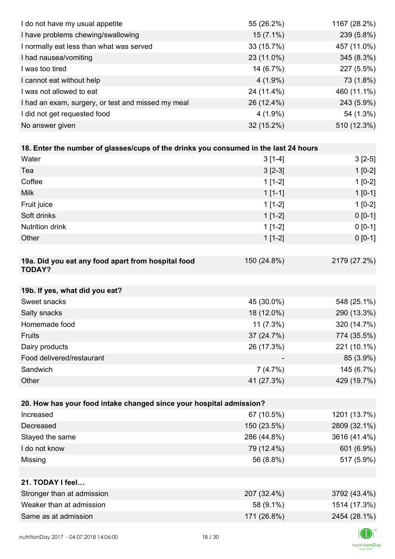| I do not have my usual appetite                                                      | 55 (26.2%)  | 1167 (28.2%) |
|--------------------------------------------------------------------------------------|-------------|--------------|
| I have problems chewing/swallowing                                                   | $15(7.1\%)$ | 239 (5.8%)   |
| I normally eat less than what was served                                             | 33 (15.7%)  | 457 (11.0%)  |
| I had nausea/vomiting                                                                | 23 (11.0%)  | 345 (8.3%)   |
| I was too tired                                                                      | 14 (6.7%)   | 227 (5.5%)   |
| I cannot eat without help                                                            | $4(1.9\%)$  | 73 (1.8%)    |
| I was not allowed to eat                                                             | 24 (11.4%)  | 460 (11.1%)  |
| I had an exam, surgery, or test and missed my meal                                   | 26 (12.4%)  | 243 (5.9%)   |
| I did not get requested food                                                         | $4(1.9\%)$  | 54 (1.3%)    |
| No answer given                                                                      | 32 (15.2%)  | 510 (12.3%)  |
|                                                                                      |             |              |
| 18. Enter the number of glasses/cups of the drinks you consumed in the last 24 hours |             |              |
| Water                                                                                | $3[1-4]$    | $3[2-5]$     |
| Tea                                                                                  | $3 [2-3]$   | $1[0-2]$     |
| Coffee                                                                               | $1[1-2]$    | $1[0-2]$     |
| <b>Milk</b>                                                                          | $1[1-1]$    | $1[0-1]$     |
| Fruit juice                                                                          | $1[1-2]$    | $1[0-2]$     |
| Soft drinks                                                                          | $1[1-2]$    | $0[0-1]$     |
| <b>Nutrition drink</b>                                                               | $1[1-2]$    | $0 [0-1]$    |
| Other                                                                                | $1[1-2]$    | $0 [0-1]$    |
|                                                                                      |             |              |
| 19a. Did you eat any food apart from hospital food<br><b>TODAY?</b>                  | 150 (24.8%) | 2179 (27.2%) |
| 19b. If yes, what did you eat?                                                       |             |              |
| Sweet snacks                                                                         | 45 (30.0%)  | 548 (25.1%)  |
| Salty snacks                                                                         | 18 (12.0%)  | 290 (13.3%)  |
| Homemade food                                                                        | $11(7.3\%)$ | 320 (14.7%)  |
| Fruits                                                                               | 37 (24.7%)  | 774 (35.5%)  |
| Dairy products                                                                       | 26 (17.3%)  | 221 (10.1%)  |
| Food delivered/restaurant                                                            |             | 85 (3.9%)    |
| Sandwich                                                                             | 7(4.7%)     | 145 (6.7%)   |
| Other                                                                                | 41 (27.3%)  | 429 (19.7%)  |
|                                                                                      |             |              |
| 20. How has your food intake changed since your hospital admission?                  |             |              |
| Increased                                                                            | 67 (10.5%)  | 1201 (13.7%) |
| Decreased                                                                            | 150 (23.5%) | 2809 (32.1%) |
| Stayed the same                                                                      | 286 (44.8%) | 3616 (41.4%) |
| I do not know                                                                        | 79 (12.4%)  | 601 (6.9%)   |
| Missing                                                                              | 56 (8.8%)   | 517 (5.9%)   |
|                                                                                      |             |              |
| 21. TODAY I feel                                                                     |             |              |
| Stronger than at admission                                                           | 207 (32.4%) | 3792 (43.4%) |
| Weaker than at admission                                                             | 58 (9.1%)   | 1514 (17.3%) |
| Same as at admission                                                                 | 171 (26.8%) | 2454 (28.1%) |
|                                                                                      |             |              |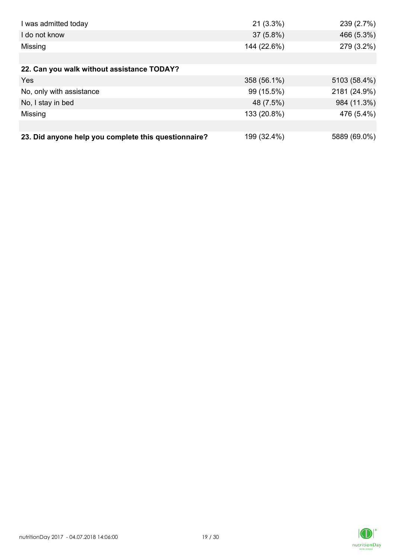| I was admitted today                                 | $21(3.3\%)$ | 239 (2.7%)   |
|------------------------------------------------------|-------------|--------------|
| I do not know                                        | $37(5.8\%)$ | 466 (5.3%)   |
| Missing                                              | 144 (22.6%) | 279 (3.2%)   |
|                                                      |             |              |
| 22. Can you walk without assistance TODAY?           |             |              |
| Yes                                                  | 358 (56.1%) | 5103 (58.4%) |
| No, only with assistance                             | 99 (15.5%)  | 2181 (24.9%) |
| No, I stay in bed                                    | 48 (7.5%)   | 984 (11.3%)  |
| Missing                                              | 133 (20.8%) | 476 (5.4%)   |
|                                                      |             |              |
| 23. Did anyone help you complete this questionnaire? | 199 (32.4%) | 5889 (69.0%) |

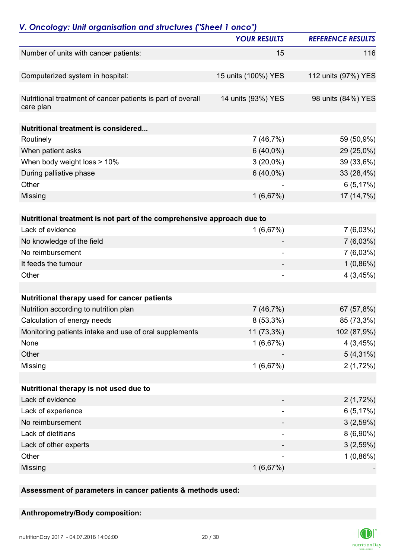| V. Oncology: Unit organisation and structures ("Sheet 1 onco")           |                          |                          |
|--------------------------------------------------------------------------|--------------------------|--------------------------|
|                                                                          | <b>YOUR RESULTS</b>      | <b>REFERENCE RESULTS</b> |
| Number of units with cancer patients:                                    | 15                       | 116                      |
| Computerized system in hospital:                                         | 15 units (100%) YES      | 112 units (97%) YES      |
| Nutritional treatment of cancer patients is part of overall<br>care plan | 14 units (93%) YES       | 98 units (84%) YES       |
| <b>Nutritional treatment is considered</b>                               |                          |                          |
| Routinely                                                                | 7(46,7%)                 | 59 (50,9%)               |
| When patient asks                                                        | $6(40,0\%)$              | 29 (25,0%)               |
| When body weight loss > 10%                                              | $3(20,0\%)$              | 39 (33,6%)               |
| During palliative phase                                                  | $6(40,0\%)$              | 33 (28,4%)               |
| Other                                                                    |                          | 6(5,17%)                 |
| Missing                                                                  | 1(6,67%)                 | 17 (14,7%)               |
|                                                                          |                          |                          |
| Nutritional treatment is not part of the comprehensive approach due to   |                          |                          |
| Lack of evidence                                                         | 1(6,67%)                 | 7(6,03%)                 |
| No knowledge of the field                                                |                          | 7(6,03%)                 |
| No reimbursement                                                         | $\overline{\phantom{a}}$ | $7(6,03\%)$              |
| It feeds the tumour                                                      |                          | $1(0,86\%)$              |
| Other                                                                    | $\overline{\phantom{a}}$ | 4(3,45%)                 |
| Nutritional therapy used for cancer patients                             |                          |                          |
| Nutrition according to nutrition plan                                    | 7(46,7%)                 | 67 (57,8%)               |
| Calculation of energy needs                                              | 8 (53,3%)                | 85 (73,3%)               |
| Monitoring patients intake and use of oral supplements                   | 11 (73,3%)               | 102 (87,9%)              |
| None                                                                     |                          |                          |
|                                                                          | 1(6,67%)                 | 4(3,45%)                 |
| Other                                                                    |                          | $5(4,31\%)$              |
| Missing                                                                  | 1(6,67%)                 | 2(1,72%)                 |
| Nutritional therapy is not used due to                                   |                          |                          |
| Lack of evidence                                                         |                          | 2(1,72%)                 |
| Lack of experience                                                       | -                        | 6(5,17%)                 |
| No reimbursement                                                         |                          | 3(2,59%)                 |
| Lack of dietitians                                                       |                          | $8(6,90\%)$              |
| Lack of other experts                                                    |                          | 3(2,59%)                 |
| Other                                                                    |                          | $1(0,86\%)$              |
| Missing                                                                  | 1(6,67%)                 |                          |

**Assessment of parameters in cancer patients & methods used:**

**Anthropometry/Body composition:**

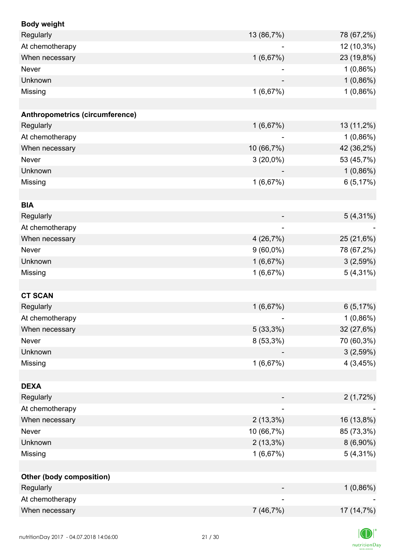| <b>Body weight</b>              |             |             |
|---------------------------------|-------------|-------------|
| Regularly                       | 13 (86,7%)  | 78 (67,2%)  |
| At chemotherapy                 |             | 12 (10,3%)  |
| When necessary                  | 1(6,67%)    | 23 (19,8%)  |
| Never                           |             | $1(0,86\%)$ |
| Unknown                         |             | $1(0,86\%)$ |
| Missing                         | 1(6,67%)    | $1(0,86\%)$ |
|                                 |             |             |
| Anthropometrics (circumference) |             |             |
| Regularly                       | 1(6,67%)    | 13 (11,2%)  |
| At chemotherapy                 |             | $1(0,86\%)$ |
| When necessary                  | 10 (66,7%)  | 42 (36,2%)  |
| Never                           | $3(20,0\%)$ | 53 (45,7%)  |
| Unknown                         |             | $1(0,86\%)$ |
| Missing                         | 1(6,67%)    | 6(5,17%)    |
|                                 |             |             |
| <b>BIA</b>                      |             |             |
| Regularly                       |             | $5(4,31\%)$ |
| At chemotherapy                 |             |             |
| When necessary                  | 4(26,7%)    | 25 (21,6%)  |
| Never                           | $9(60,0\%)$ | 78 (67,2%)  |
| Unknown                         | 1(6,67%)    | 3(2,59%)    |
| Missing                         | 1(6,67%)    | $5(4,31\%)$ |
|                                 |             |             |
| <b>CT SCAN</b>                  |             |             |
| Regularly                       | 1(6,67%)    | 6(5,17%)    |
| At chemotherapy                 |             | $1(0,86\%)$ |
| When necessary                  | 5(33,3%)    | 32 (27,6%)  |
| <b>Never</b>                    | $8(53,3\%)$ | 70 (60,3%)  |
| Unknown                         |             | 3(2,59%)    |
| Missing                         | 1(6,67%)    | 4(3,45%)    |
|                                 |             |             |
| <b>DEXA</b>                     |             |             |
| Regularly                       |             | 2(1,72%)    |
| At chemotherapy                 |             |             |
| When necessary                  | $2(13,3\%)$ | 16 (13,8%)  |
| Never                           | 10 (66,7%)  | 85 (73,3%)  |
| Unknown                         | $2(13,3\%)$ | $8(6,90\%)$ |
| Missing                         | 1(6,67%)    | $5(4,31\%)$ |
|                                 |             |             |
| Other (body composition)        |             |             |
| Regularly                       |             | $1(0,86\%)$ |
| At chemotherapy                 |             |             |
| When necessary                  | 7 (46,7%)   | 17 (14,7%)  |
|                                 |             |             |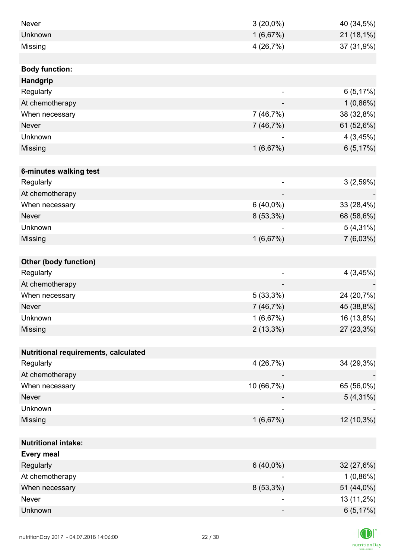| Never                                | $3(20,0\%)$    | 40 (34,5%)  |
|--------------------------------------|----------------|-------------|
| Unknown                              | 1(6,67%)       | 21 (18,1%)  |
| Missing                              | 4 (26,7%)      | 37 (31,9%)  |
|                                      |                |             |
| <b>Body function:</b>                |                |             |
| <b>Handgrip</b>                      |                |             |
| Regularly                            | $\overline{a}$ | 6(5,17%)    |
| At chemotherapy                      |                | $1(0,86\%)$ |
| When necessary                       | 7(46,7%)       | 38 (32,8%)  |
| <b>Never</b>                         | 7(46,7%)       | 61 (52,6%)  |
| Unknown                              |                | 4(3,45%)    |
| Missing                              | 1(6,67%)       | 6(5,17%)    |
|                                      |                |             |
| 6-minutes walking test               |                |             |
| Regularly                            | ۰              | 3(2,59%)    |
| At chemotherapy                      |                |             |
| When necessary                       | $6(40,0\%)$    | 33 (28,4%)  |
| <b>Never</b>                         | 8 (53,3%)      | 68 (58,6%)  |
| Unknown                              |                | $5(4,31\%)$ |
| Missing                              | 1(6,67%)       | 7(6,03%)    |
|                                      |                |             |
| <b>Other (body function)</b>         |                |             |
| Regularly                            | -              | 4(3,45%)    |
| At chemotherapy                      |                |             |
| When necessary                       | 5(33,3%)       | 24 (20,7%)  |
| <b>Never</b>                         | 7(46,7%)       | 45 (38,8%)  |
| Unknown                              | 1(6,67%)       | 16 (13,8%)  |
| Missing                              | $2(13,3\%)$    | 27 (23,3%)  |
|                                      |                |             |
| Nutritional requirements, calculated |                |             |
| Regularly                            | 4 (26,7%)      | 34 (29,3%)  |
| At chemotherapy                      |                |             |
| When necessary                       | 10 (66,7%)     | 65 (56,0%)  |
| <b>Never</b>                         |                | $5(4,31\%)$ |
| Unknown                              |                |             |
| Missing                              | 1(6,67%)       | 12 (10,3%)  |
|                                      |                |             |
| <b>Nutritional intake:</b>           |                |             |
| <b>Every meal</b>                    |                |             |
| Regularly                            | $6(40,0\%)$    | 32 (27,6%)  |
| At chemotherapy                      |                | $1(0,86\%)$ |
| When necessary                       | $8(53,3\%)$    | 51 (44,0%)  |
| Never                                |                | 13 (11,2%)  |
| Unknown                              |                | 6(5,17%)    |

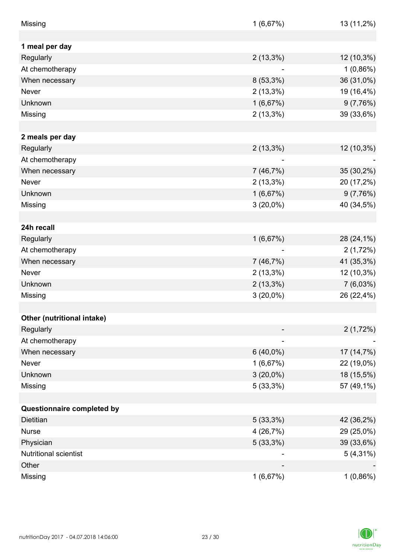| Missing                    | 1(6,67%)    | 13 (11,2%)  |
|----------------------------|-------------|-------------|
|                            |             |             |
| 1 meal per day             |             |             |
| Regularly                  | $2(13,3\%)$ | 12 (10,3%)  |
| At chemotherapy            |             | $1(0,86\%)$ |
| When necessary             | $8(53,3\%)$ | 36 (31,0%)  |
| Never                      | $2(13,3\%)$ | 19 (16,4%)  |
| Unknown                    | 1(6,67%)    | 9(7,76%)    |
| Missing                    | $2(13,3\%)$ | 39 (33,6%)  |
|                            |             |             |
| 2 meals per day            |             |             |
| Regularly                  | $2(13,3\%)$ | 12 (10,3%)  |
| At chemotherapy            |             |             |
| When necessary             | 7(46,7%)    | 35 (30,2%)  |
| <b>Never</b>               | $2(13,3\%)$ | 20 (17,2%)  |
| Unknown                    | 1(6,67%)    | 9(7,76%)    |
| Missing                    | $3(20,0\%)$ | 40 (34,5%)  |
|                            |             |             |
| 24h recall                 |             |             |
| Regularly                  | 1(6,67%)    | 28 (24,1%)  |
| At chemotherapy            |             | 2(1,72%)    |
| When necessary             | 7(46,7%)    | 41 (35,3%)  |
| Never                      | $2(13,3\%)$ | 12 (10,3%)  |
| Unknown                    | $2(13,3\%)$ | $7(6,03\%)$ |
| Missing                    | $3(20,0\%)$ | 26 (22,4%)  |
|                            |             |             |
| Other (nutritional intake) |             |             |
| Regularly                  |             | 2(1,72%)    |
| At chemotherapy            |             |             |
| When necessary             | $6(40,0\%)$ | 17 (14,7%)  |
| Never                      | 1(6,67%)    | 22 (19,0%)  |
| Unknown                    | $3(20,0\%)$ | 18 (15,5%)  |
| Missing                    | 5(33,3%)    | 57 (49,1%)  |
|                            |             |             |
| Questionnaire completed by |             |             |
| Dietitian                  | 5(33,3%)    | 42 (36,2%)  |
| <b>Nurse</b>               | 4(26,7%)    | 29 (25,0%)  |
| Physician                  | 5(33,3%)    | 39 (33,6%)  |
| Nutritional scientist      |             | $5(4,31\%)$ |
| Other                      |             |             |
| Missing                    | 1(6,67%)    | $1(0,86\%)$ |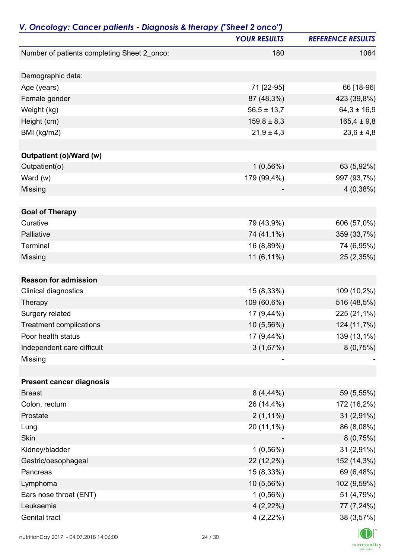| V. Oncology: Cancer patients - Diagnosis & therapy ("Sheet 2 onco") | <b>YOUR RESULTS</b> | <b>REFERENCE RESULTS</b> |
|---------------------------------------------------------------------|---------------------|--------------------------|
| Number of patients completing Sheet 2_onco:                         | 180                 | 1064                     |
|                                                                     |                     |                          |
| Demographic data:                                                   |                     |                          |
| Age (years)                                                         | 71 [22-95]          | 66 [18-96]               |
| Female gender                                                       | 87 (48,3%)          | 423 (39,8%)              |
| Weight (kg)                                                         | $56,5 \pm 13,7$     | $64,3 \pm 16,9$          |
| Height (cm)                                                         | $159,8 \pm 8,3$     | $165,4 \pm 9,8$          |
| BMI (kg/m2)                                                         | $21,9 \pm 4,3$      | $23,6 \pm 4,8$           |
|                                                                     |                     |                          |
| Outpatient (o)/Ward (w)                                             |                     |                          |
| Outpatient(o)                                                       | $1(0,56\%)$         | 63 (5,92%)               |
| Ward $(w)$                                                          | 179 (99,4%)         | 997 (93,7%)              |
| Missing                                                             |                     | 4(0,38%)                 |
|                                                                     |                     |                          |
| <b>Goal of Therapy</b>                                              |                     |                          |
| Curative                                                            | 79 (43,9%)          | 606 (57,0%)              |
| Palliative                                                          | 74 (41,1%)          | 359 (33,7%)              |
| Terminal                                                            | 16 (8,89%)          | 74 (6,95%)               |
| Missing                                                             | 11 (6,11%)          | 25 (2,35%)               |
|                                                                     |                     |                          |
| <b>Reason for admission</b>                                         |                     |                          |
| Clinical diagnostics                                                | 15 (8,33%)          | 109 (10,2%)              |
| Therapy                                                             | 109 (60,6%)         | 516 (48,5%)              |
| Surgery related                                                     | 17 (9,44%)          | 225 (21,1%)              |
| <b>Treatment complications</b>                                      | 10 (5,56%)          | 124 (11,7%)              |
| Poor health status                                                  | 17 (9,44%)          | 139 (13,1%)              |
| Independent care difficult                                          | 3(1,67%)            | 8(0,75%)                 |
| Missing                                                             |                     |                          |
|                                                                     |                     |                          |
| <b>Present cancer diagnosis</b>                                     |                     |                          |
| <b>Breast</b>                                                       | $8(4,44\%)$         | 59 (5,55%)               |
| Colon, rectum                                                       | 26 (14,4%)          | 172 (16,2%)              |
| Prostate                                                            | $2(1,11\%)$         | $31(2,91\%)$             |
| Lung                                                                | 20 (11,1%)          | 86 (8,08%)               |
| <b>Skin</b>                                                         |                     | 8(0,75%)                 |
| Kidney/bladder                                                      | $1(0,56\%)$         | 31 (2,91%)               |
| Gastric/oesophageal                                                 | 22 (12,2%)          | 152 (14,3%)              |
| Pancreas                                                            | 15 (8,33%)          | 69 (6,48%)               |
| Lymphoma                                                            | 10 (5,56%)          | 102 (9,59%)              |
| Ears nose throat (ENT)                                              | $1(0,56\%)$         | 51 (4,79%)               |
| Leukaemia                                                           | $4(2,22\%)$         | 77 (7,24%)               |
| Genital tract                                                       | $4(2,22\%)$         | 38 (3,57%)               |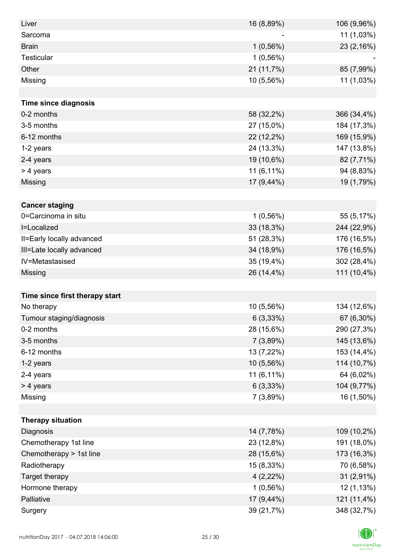| Liver                          | 16 (8,89%)  | 106 (9,96%) |
|--------------------------------|-------------|-------------|
| Sarcoma                        |             | 11 (1,03%)  |
| <b>Brain</b>                   | $1(0,56\%)$ | 23 (2,16%)  |
| Testicular                     | $1(0,56\%)$ |             |
| Other                          | 21 (11,7%)  | 85 (7,99%)  |
| Missing                        | 10 (5,56%)  | 11 (1,03%)  |
|                                |             |             |
| <b>Time since diagnosis</b>    |             |             |
| 0-2 months                     | 58 (32,2%)  | 366 (34,4%) |
| 3-5 months                     | 27 (15,0%)  | 184 (17,3%) |
| 6-12 months                    | 22 (12,2%)  | 169 (15,9%) |
| 1-2 years                      | 24 (13,3%)  | 147 (13,8%) |
| 2-4 years                      | 19 (10,6%)  | 82 (7,71%)  |
| > 4 years                      | 11 (6,11%)  | 94 (8,83%)  |
| Missing                        | 17 (9,44%)  | 19 (1,79%)  |
|                                |             |             |
| <b>Cancer staging</b>          |             |             |
| 0=Carcinoma in situ            | $1(0,56\%)$ | 55 (5,17%)  |
| I=Localized                    | 33 (18,3%)  | 244 (22,9%) |
| II=Early locally advanced      | 51 (28,3%)  | 176 (16,5%) |
| III=Late locally advanced      | 34 (18,9%)  | 176 (16,5%) |
| IV=Metastasised                | 35 (19,4%)  | 302 (28,4%) |
| Missing                        | 26 (14,4%)  | 111 (10,4%) |
|                                |             |             |
| Time since first therapy start |             |             |
| No therapy                     | 10 (5,56%)  | 134 (12,6%) |
| Tumour staging/diagnosis       | 6(3,33%)    | 67 (6,30%)  |
| 0-2 months                     | 28 (15,6%)  | 290 (27,3%) |
| 3-5 months                     | 7(3,89%)    | 145 (13,6%) |
| 6-12 months                    | 13 (7,22%)  | 153 (14,4%) |
| 1-2 years                      | 10 (5,56%)  | 114 (10,7%) |
| 2-4 years                      | 11 (6,11%)  | 64 (6,02%)  |
| > 4 years                      | 6(3,33%)    | 104 (9,77%) |
| Missing                        | 7(3,89%)    | 16 (1,50%)  |
|                                |             |             |
| <b>Therapy situation</b>       |             |             |
| Diagnosis                      | 14 (7,78%)  | 109 (10,2%) |
| Chemotherapy 1st line          | 23 (12,8%)  | 191 (18,0%) |
| Chemotherapy > 1st line        | 28 (15,6%)  | 173 (16,3%) |
| Radiotherapy                   | 15 (8,33%)  | 70 (6,58%)  |
| Target therapy                 | $4(2,22\%)$ | 31 (2,91%)  |
| Hormone therapy                | $1(0,56\%)$ | 12 (1,13%)  |
| Palliative                     | 17 (9,44%)  | 121 (11,4%) |
| Surgery                        | 39 (21,7%)  | 348 (32,7%) |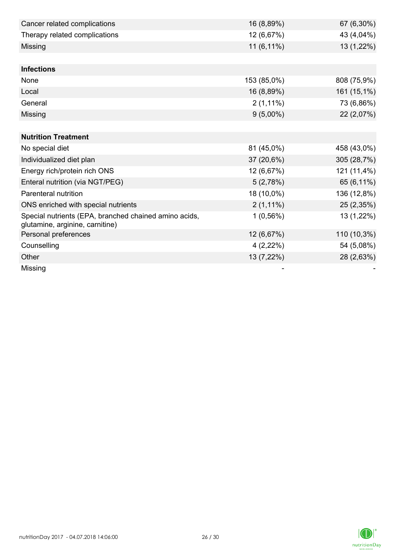| Cancer related complications                                                             | 16 (8,89%)  | 67 (6,30%)  |
|------------------------------------------------------------------------------------------|-------------|-------------|
| Therapy related complications                                                            | 12 (6,67%)  | 43 (4,04%)  |
| Missing                                                                                  | 11 (6,11%)  | 13 (1,22%)  |
|                                                                                          |             |             |
| <b>Infections</b>                                                                        |             |             |
| None                                                                                     | 153 (85,0%) | 808 (75,9%) |
| Local                                                                                    | 16 (8,89%)  | 161 (15,1%) |
| General                                                                                  | $2(1,11\%)$ | 73 (6,86%)  |
| Missing                                                                                  | $9(5,00\%)$ | 22 (2,07%)  |
|                                                                                          |             |             |
| <b>Nutrition Treatment</b>                                                               |             |             |
| No special diet                                                                          | 81 (45,0%)  | 458 (43,0%) |
| Individualized diet plan                                                                 | 37 (20,6%)  | 305 (28,7%) |
| Energy rich/protein rich ONS                                                             | 12 (6,67%)  | 121 (11,4%) |
| Enteral nutrition (via NGT/PEG)                                                          | 5(2,78%)    | 65 (6,11%)  |
| Parenteral nutrition                                                                     | 18 (10,0%)  | 136 (12,8%) |
| ONS enriched with special nutrients                                                      | $2(1,11\%)$ | 25 (2,35%)  |
| Special nutrients (EPA, branched chained amino acids,<br>glutamine, arginine, carnitine) | $1(0,56\%)$ | 13 (1,22%)  |
| Personal preferences                                                                     | 12 (6,67%)  | 110 (10,3%) |
| Counselling                                                                              | $4(2,22\%)$ | 54 (5,08%)  |
| Other                                                                                    | 13 (7,22%)  | 28 (2,63%)  |
| Missing                                                                                  |             |             |

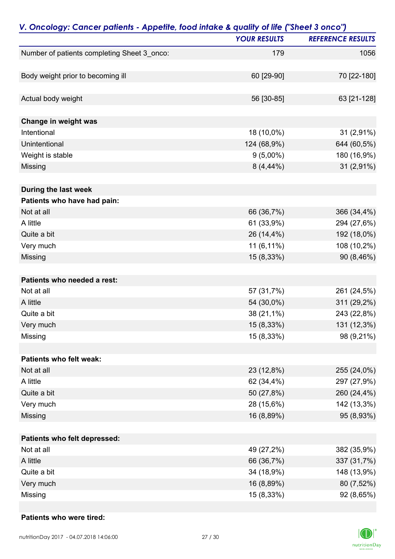| V. Oncology: Cancer patients - Appetite, food intake & quality of life ("Sheet 3 onco") | <b>YOUR RESULTS</b> | <b>REFERENCE RESULTS</b> |
|-----------------------------------------------------------------------------------------|---------------------|--------------------------|
|                                                                                         | 179                 | 1056                     |
| Number of patients completing Sheet 3_onco:                                             |                     |                          |
| Body weight prior to becoming ill                                                       | 60 [29-90]          | 70 [22-180]              |
| Actual body weight                                                                      | 56 [30-85]          | 63 [21-128]              |
| Change in weight was                                                                    |                     |                          |
| Intentional                                                                             | 18 (10,0%)          | 31 (2,91%)               |
| Unintentional                                                                           | 124 (68,9%)         | 644 (60,5%)              |
| Weight is stable                                                                        | $9(5,00\%)$         | 180 (16,9%)              |
| Missing                                                                                 | $8(4,44\%)$         | 31 (2,91%)               |
| During the last week                                                                    |                     |                          |
| Patients who have had pain:                                                             |                     |                          |
| Not at all                                                                              | 66 (36,7%)          | 366 (34,4%)              |
| A little                                                                                | 61 (33,9%)          | 294 (27,6%)              |
| Quite a bit                                                                             | 26 (14,4%)          | 192 (18,0%)              |
| Very much                                                                               | 11 (6,11%)          | 108 (10,2%)              |
| Missing                                                                                 | 15 (8,33%)          | 90 (8,46%)               |
| Patients who needed a rest:                                                             |                     |                          |
| Not at all                                                                              | 57 (31,7%)          | 261 (24,5%)              |
| A little                                                                                | 54 (30,0%)          | 311 (29,2%)              |
| Quite a bit                                                                             | 38 (21,1%)          | 243 (22,8%)              |
| Very much                                                                               | 15 (8,33%)          | 131 (12,3%)              |
| Missing                                                                                 | 15 (8,33%)          | 98 (9,21%)               |
| Patients who felt weak:                                                                 |                     |                          |
| Not at all                                                                              | 23 (12,8%)          | 255 (24,0%)              |
| A little                                                                                | 62 (34,4%)          | 297 (27,9%)              |
| Quite a bit                                                                             | 50 (27,8%)          | 260 (24,4%)              |
| Very much                                                                               | 28 (15,6%)          | 142 (13,3%)              |
| Missing                                                                                 | 16 (8,89%)          | 95 (8,93%)               |
| Patients who felt depressed:                                                            |                     |                          |
| Not at all                                                                              | 49 (27,2%)          | 382 (35,9%)              |
| A little                                                                                | 66 (36,7%)          | 337 (31,7%)              |
| Quite a bit                                                                             | 34 (18,9%)          | 148 (13,9%)              |
| Very much                                                                               | 16 (8,89%)          | 80 (7,52%)               |
| Missing                                                                                 | 15 (8,33%)          | 92 (8,65%)               |

#### **Patients who were tired:**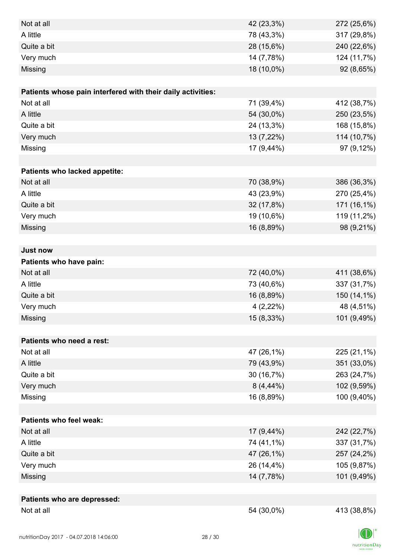| Not at all                                                  | 42 (23,3%)   | 272 (25,6%) |
|-------------------------------------------------------------|--------------|-------------|
| A little                                                    | 78 (43,3%)   | 317 (29,8%) |
| Quite a bit                                                 | 28 (15,6%)   | 240 (22,6%) |
| Very much                                                   | 14 (7,78%)   | 124 (11,7%) |
| Missing                                                     | 18 (10,0%)   | 92 (8,65%)  |
|                                                             |              |             |
| Patients whose pain interfered with their daily activities: |              |             |
| Not at all                                                  | 71 (39,4%)   | 412 (38,7%) |
| A little                                                    | 54 (30,0%)   | 250 (23,5%) |
| Quite a bit                                                 | 24 (13,3%)   | 168 (15,8%) |
| Very much                                                   | 13 (7,22%)   | 114 (10,7%) |
| Missing                                                     | 17 (9,44%)   | 97 (9,12%)  |
|                                                             |              |             |
| Patients who lacked appetite:                               |              |             |
| Not at all                                                  | 70 (38,9%)   | 386 (36,3%) |
| A little                                                    | 43 (23,9%)   | 270 (25,4%) |
| Quite a bit                                                 | 32 (17,8%)   | 171 (16,1%) |
| Very much                                                   | 19 (10,6%)   | 119 (11,2%) |
| Missing                                                     | 16 (8,89%)   | 98 (9,21%)  |
|                                                             |              |             |
| <b>Just now</b>                                             |              |             |
| Patients who have pain:                                     |              |             |
| Not at all                                                  | 72 (40,0%)   | 411 (38,6%) |
| A little                                                    | 73 (40,6%)   | 337 (31,7%) |
| Quite a bit                                                 | 16 (8,89%)   | 150 (14,1%) |
| Very much                                                   | $4(2,22\%)$  | 48 (4,51%)  |
| Missing                                                     | 15 (8,33%)   | 101 (9,49%) |
|                                                             |              |             |
| Patients who need a rest:                                   |              |             |
| Not at all                                                  | 47 (26,1%)   | 225 (21,1%) |
| A little                                                    | 79 (43,9%)   | 351 (33,0%) |
| Quite a bit                                                 | 30 (16,7%)   | 263 (24,7%) |
| Very much                                                   | $8(4, 44\%)$ | 102 (9,59%) |
| Missing                                                     | 16 (8,89%)   | 100 (9,40%) |
|                                                             |              |             |
| <b>Patients who feel weak:</b>                              |              |             |
| Not at all                                                  | 17 (9,44%)   | 242 (22,7%) |
| A little                                                    | 74 (41,1%)   | 337 (31,7%) |
| Quite a bit                                                 | 47 (26,1%)   | 257 (24,2%) |
| Very much                                                   | 26 (14,4%)   | 105 (9,87%) |
| Missing                                                     | 14 (7,78%)   | 101 (9,49%) |
|                                                             |              |             |
| Patients who are depressed:                                 |              |             |
| Not at all                                                  | 54 (30,0%)   | 413 (38,8%) |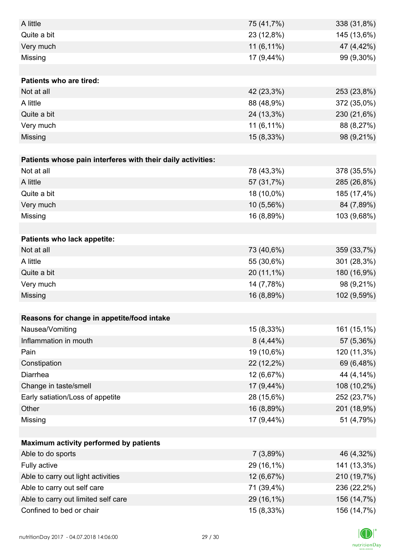| A little                                                    | 75 (41,7%)  | 338 (31,8%) |
|-------------------------------------------------------------|-------------|-------------|
| Quite a bit                                                 | 23 (12,8%)  | 145 (13,6%) |
| Very much                                                   | 11 (6,11%)  | 47 (4,42%)  |
| Missing                                                     | 17 (9,44%)  | 99 (9,30%)  |
|                                                             |             |             |
| <b>Patients who are tired:</b>                              |             |             |
| Not at all                                                  | 42 (23,3%)  | 253 (23,8%) |
| A little                                                    | 88 (48,9%)  | 372 (35,0%) |
| Quite a bit                                                 | 24 (13,3%)  | 230 (21,6%) |
| Very much                                                   | 11 (6,11%)  | 88 (8,27%)  |
| Missing                                                     | 15 (8,33%)  | 98 (9,21%)  |
|                                                             |             |             |
| Patients whose pain interferes with their daily activities: |             |             |
| Not at all                                                  | 78 (43,3%)  | 378 (35,5%) |
| A little                                                    | 57 (31,7%)  | 285 (26,8%) |
| Quite a bit                                                 | 18 (10,0%)  | 185 (17,4%) |
| Very much                                                   | 10 (5,56%)  | 84 (7,89%)  |
| Missing                                                     | 16 (8,89%)  | 103 (9,68%) |
|                                                             |             |             |
| Patients who lack appetite:                                 |             |             |
| Not at all                                                  | 73 (40,6%)  | 359 (33,7%) |
| A little                                                    | 55 (30,6%)  | 301 (28,3%) |
| Quite a bit                                                 | 20 (11,1%)  | 180 (16,9%) |
| Very much                                                   | 14 (7,78%)  | 98 (9,21%)  |
| Missing                                                     | 16 (8,89%)  | 102 (9,59%) |
|                                                             |             |             |
| Reasons for change in appetite/food intake                  |             |             |
| Nausea/Vomiting                                             | 15 (8,33%)  | 161 (15,1%) |
| Inflammation in mouth                                       | $8(4,44\%)$ | 57 (5,36%)  |
| Pain                                                        | 19 (10,6%)  | 120 (11,3%) |
| Constipation                                                | 22 (12,2%)  | 69 (6,48%)  |
| Diarrhea                                                    | 12 (6,67%)  | 44 (4,14%)  |
| Change in taste/smell                                       | 17 (9,44%)  | 108 (10,2%) |
| Early satiation/Loss of appetite                            | 28 (15,6%)  | 252 (23,7%) |
| Other                                                       | 16 (8,89%)  | 201 (18,9%) |
| Missing                                                     | 17 (9,44%)  | 51 (4,79%)  |
|                                                             |             |             |
| Maximum activity performed by patients                      |             |             |
| Able to do sports                                           | 7(3,89%)    | 46 (4,32%)  |
| Fully active                                                | 29 (16,1%)  | 141 (13,3%) |
| Able to carry out light activities                          | 12 (6,67%)  | 210 (19,7%) |
| Able to carry out self care                                 | 71 (39,4%)  | 236 (22,2%) |
| Able to carry out limited self care                         | 29 (16,1%)  | 156 (14,7%) |
| Confined to bed or chair                                    | 15 (8,33%)  | 156 (14,7%) |